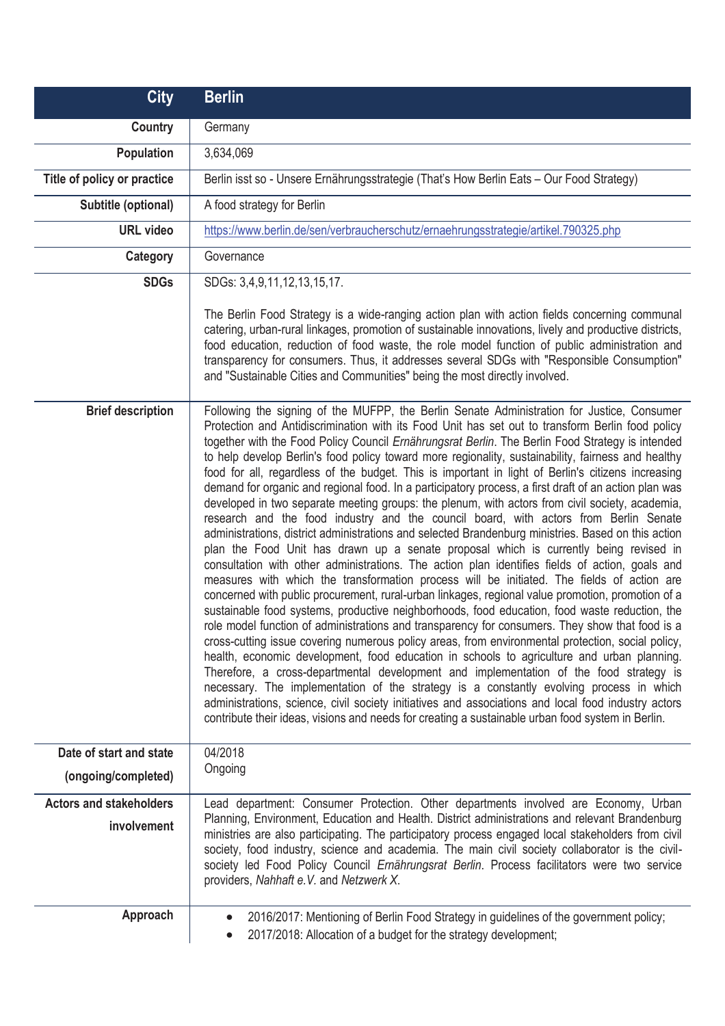| <b>City</b>                    | <b>Berlin</b>                                                                                                                                                                                                                                                                                                                                                                                                                                                                                                                                                                                                                                                                                                                                                                                                                                                                                                                                                                                                                                                                                                                                                                                                                                                                                                                                                                                                                                                                                                                                                                                                                                                                                                                                                                                                                                                                                                                                                                                                                                                                                                                    |
|--------------------------------|----------------------------------------------------------------------------------------------------------------------------------------------------------------------------------------------------------------------------------------------------------------------------------------------------------------------------------------------------------------------------------------------------------------------------------------------------------------------------------------------------------------------------------------------------------------------------------------------------------------------------------------------------------------------------------------------------------------------------------------------------------------------------------------------------------------------------------------------------------------------------------------------------------------------------------------------------------------------------------------------------------------------------------------------------------------------------------------------------------------------------------------------------------------------------------------------------------------------------------------------------------------------------------------------------------------------------------------------------------------------------------------------------------------------------------------------------------------------------------------------------------------------------------------------------------------------------------------------------------------------------------------------------------------------------------------------------------------------------------------------------------------------------------------------------------------------------------------------------------------------------------------------------------------------------------------------------------------------------------------------------------------------------------------------------------------------------------------------------------------------------------|
| Country                        | Germany                                                                                                                                                                                                                                                                                                                                                                                                                                                                                                                                                                                                                                                                                                                                                                                                                                                                                                                                                                                                                                                                                                                                                                                                                                                                                                                                                                                                                                                                                                                                                                                                                                                                                                                                                                                                                                                                                                                                                                                                                                                                                                                          |
| <b>Population</b>              | 3,634,069                                                                                                                                                                                                                                                                                                                                                                                                                                                                                                                                                                                                                                                                                                                                                                                                                                                                                                                                                                                                                                                                                                                                                                                                                                                                                                                                                                                                                                                                                                                                                                                                                                                                                                                                                                                                                                                                                                                                                                                                                                                                                                                        |
| Title of policy or practice    | Berlin isst so - Unsere Ernährungsstrategie (That's How Berlin Eats - Our Food Strategy)                                                                                                                                                                                                                                                                                                                                                                                                                                                                                                                                                                                                                                                                                                                                                                                                                                                                                                                                                                                                                                                                                                                                                                                                                                                                                                                                                                                                                                                                                                                                                                                                                                                                                                                                                                                                                                                                                                                                                                                                                                         |
| Subtitle (optional)            | A food strategy for Berlin                                                                                                                                                                                                                                                                                                                                                                                                                                                                                                                                                                                                                                                                                                                                                                                                                                                                                                                                                                                                                                                                                                                                                                                                                                                                                                                                                                                                                                                                                                                                                                                                                                                                                                                                                                                                                                                                                                                                                                                                                                                                                                       |
| <b>URL</b> video               | https://www.berlin.de/sen/verbraucherschutz/ernaehrungsstrategie/artikel.790325.php                                                                                                                                                                                                                                                                                                                                                                                                                                                                                                                                                                                                                                                                                                                                                                                                                                                                                                                                                                                                                                                                                                                                                                                                                                                                                                                                                                                                                                                                                                                                                                                                                                                                                                                                                                                                                                                                                                                                                                                                                                              |
| Category                       | Governance                                                                                                                                                                                                                                                                                                                                                                                                                                                                                                                                                                                                                                                                                                                                                                                                                                                                                                                                                                                                                                                                                                                                                                                                                                                                                                                                                                                                                                                                                                                                                                                                                                                                                                                                                                                                                                                                                                                                                                                                                                                                                                                       |
| <b>SDGs</b>                    | SDGs: 3,4,9,11,12,13,15,17.                                                                                                                                                                                                                                                                                                                                                                                                                                                                                                                                                                                                                                                                                                                                                                                                                                                                                                                                                                                                                                                                                                                                                                                                                                                                                                                                                                                                                                                                                                                                                                                                                                                                                                                                                                                                                                                                                                                                                                                                                                                                                                      |
|                                | The Berlin Food Strategy is a wide-ranging action plan with action fields concerning communal<br>catering, urban-rural linkages, promotion of sustainable innovations, lively and productive districts,<br>food education, reduction of food waste, the role model function of public administration and<br>transparency for consumers. Thus, it addresses several SDGs with "Responsible Consumption"<br>and "Sustainable Cities and Communities" being the most directly involved.                                                                                                                                                                                                                                                                                                                                                                                                                                                                                                                                                                                                                                                                                                                                                                                                                                                                                                                                                                                                                                                                                                                                                                                                                                                                                                                                                                                                                                                                                                                                                                                                                                             |
| <b>Brief description</b>       | Following the signing of the MUFPP, the Berlin Senate Administration for Justice, Consumer<br>Protection and Antidiscrimination with its Food Unit has set out to transform Berlin food policy<br>together with the Food Policy Council Ernährungsrat Berlin. The Berlin Food Strategy is intended<br>to help develop Berlin's food policy toward more regionality, sustainability, fairness and healthy<br>food for all, regardless of the budget. This is important in light of Berlin's citizens increasing<br>demand for organic and regional food. In a participatory process, a first draft of an action plan was<br>developed in two separate meeting groups: the plenum, with actors from civil society, academia,<br>research and the food industry and the council board, with actors from Berlin Senate<br>administrations, district administrations and selected Brandenburg ministries. Based on this action<br>plan the Food Unit has drawn up a senate proposal which is currently being revised in<br>consultation with other administrations. The action plan identifies fields of action, goals and<br>measures with which the transformation process will be initiated. The fields of action are<br>concerned with public procurement, rural-urban linkages, regional value promotion, promotion of a<br>sustainable food systems, productive neighborhoods, food education, food waste reduction, the<br>role model function of administrations and transparency for consumers. They show that food is a<br>cross-cutting issue covering numerous policy areas, from environmental protection, social policy,<br>health, economic development, food education in schools to agriculture and urban planning.<br>Therefore, a cross-departmental development and implementation of the food strategy is<br>necessary. The implementation of the strategy is a constantly evolving process in which<br>administrations, science, civil society initiatives and associations and local food industry actors<br>contribute their ideas, visions and needs for creating a sustainable urban food system in Berlin. |
| Date of start and state        | 04/2018                                                                                                                                                                                                                                                                                                                                                                                                                                                                                                                                                                                                                                                                                                                                                                                                                                                                                                                                                                                                                                                                                                                                                                                                                                                                                                                                                                                                                                                                                                                                                                                                                                                                                                                                                                                                                                                                                                                                                                                                                                                                                                                          |
| (ongoing/completed)            | Ongoing                                                                                                                                                                                                                                                                                                                                                                                                                                                                                                                                                                                                                                                                                                                                                                                                                                                                                                                                                                                                                                                                                                                                                                                                                                                                                                                                                                                                                                                                                                                                                                                                                                                                                                                                                                                                                                                                                                                                                                                                                                                                                                                          |
| <b>Actors and stakeholders</b> | Lead department: Consumer Protection. Other departments involved are Economy, Urban                                                                                                                                                                                                                                                                                                                                                                                                                                                                                                                                                                                                                                                                                                                                                                                                                                                                                                                                                                                                                                                                                                                                                                                                                                                                                                                                                                                                                                                                                                                                                                                                                                                                                                                                                                                                                                                                                                                                                                                                                                              |
| involvement                    | Planning, Environment, Education and Health. District administrations and relevant Brandenburg<br>ministries are also participating. The participatory process engaged local stakeholders from civil<br>society, food industry, science and academia. The main civil society collaborator is the civil-<br>society led Food Policy Council Ernährungsrat Berlin. Process facilitators were two service<br>providers, Nahhaft e.V. and Netzwerk X.                                                                                                                                                                                                                                                                                                                                                                                                                                                                                                                                                                                                                                                                                                                                                                                                                                                                                                                                                                                                                                                                                                                                                                                                                                                                                                                                                                                                                                                                                                                                                                                                                                                                                |
| Approach                       | 2016/2017: Mentioning of Berlin Food Strategy in guidelines of the government policy;<br>2017/2018: Allocation of a budget for the strategy development;                                                                                                                                                                                                                                                                                                                                                                                                                                                                                                                                                                                                                                                                                                                                                                                                                                                                                                                                                                                                                                                                                                                                                                                                                                                                                                                                                                                                                                                                                                                                                                                                                                                                                                                                                                                                                                                                                                                                                                         |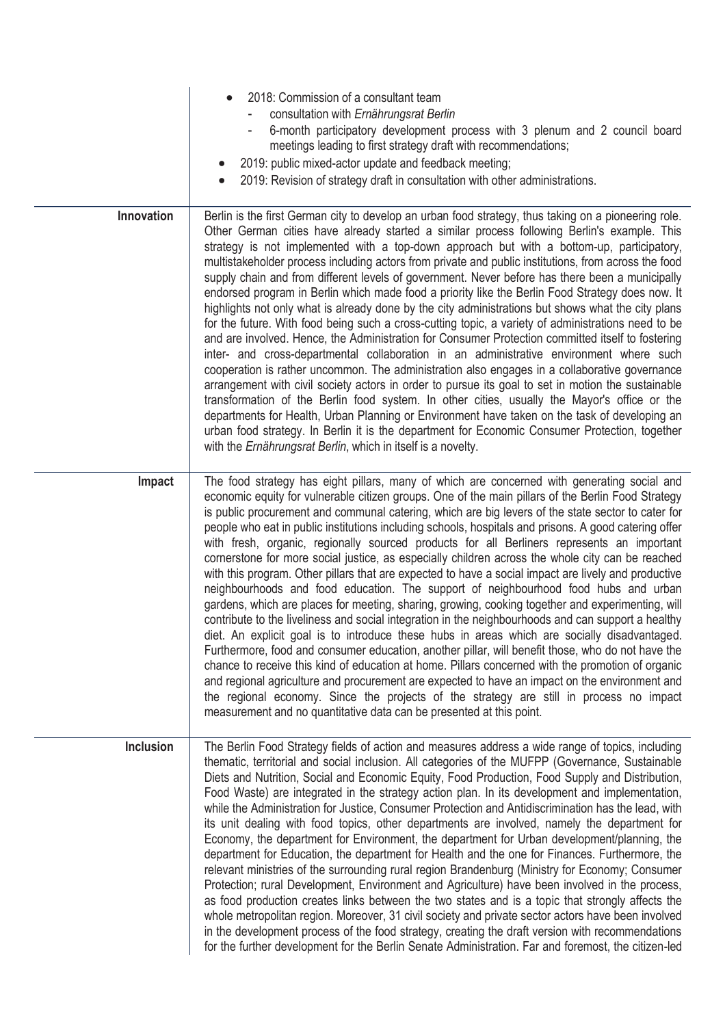|            | 2018: Commission of a consultant team<br>consultation with Ernährungsrat Berlin<br>6-month participatory development process with 3 plenum and 2 council board<br>meetings leading to first strategy draft with recommendations;<br>2019: public mixed-actor update and feedback meeting;<br>2019: Revision of strategy draft in consultation with other administrations.                                                                                                                                                                                                                                                                                                                                                                                                                                                                                                                                                                                                                                                                                                                                                                                                                                                                                                                                                                                                                                                                                                                                                                                                                                    |
|------------|--------------------------------------------------------------------------------------------------------------------------------------------------------------------------------------------------------------------------------------------------------------------------------------------------------------------------------------------------------------------------------------------------------------------------------------------------------------------------------------------------------------------------------------------------------------------------------------------------------------------------------------------------------------------------------------------------------------------------------------------------------------------------------------------------------------------------------------------------------------------------------------------------------------------------------------------------------------------------------------------------------------------------------------------------------------------------------------------------------------------------------------------------------------------------------------------------------------------------------------------------------------------------------------------------------------------------------------------------------------------------------------------------------------------------------------------------------------------------------------------------------------------------------------------------------------------------------------------------------------|
| Innovation | Berlin is the first German city to develop an urban food strategy, thus taking on a pioneering role.<br>Other German cities have already started a similar process following Berlin's example. This<br>strategy is not implemented with a top-down approach but with a bottom-up, participatory,<br>multistakeholder process including actors from private and public institutions, from across the food<br>supply chain and from different levels of government. Never before has there been a municipally<br>endorsed program in Berlin which made food a priority like the Berlin Food Strategy does now. It<br>highlights not only what is already done by the city administrations but shows what the city plans<br>for the future. With food being such a cross-cutting topic, a variety of administrations need to be<br>and are involved. Hence, the Administration for Consumer Protection committed itself to fostering<br>inter- and cross-departmental collaboration in an administrative environment where such<br>cooperation is rather uncommon. The administration also engages in a collaborative governance<br>arrangement with civil society actors in order to pursue its goal to set in motion the sustainable<br>transformation of the Berlin food system. In other cities, usually the Mayor's office or the<br>departments for Health, Urban Planning or Environment have taken on the task of developing an<br>urban food strategy. In Berlin it is the department for Economic Consumer Protection, together<br>with the Ernährungsrat Berlin, which in itself is a novelty.       |
| Impact     | The food strategy has eight pillars, many of which are concerned with generating social and<br>economic equity for vulnerable citizen groups. One of the main pillars of the Berlin Food Strategy<br>is public procurement and communal catering, which are big levers of the state sector to cater for<br>people who eat in public institutions including schools, hospitals and prisons. A good catering offer<br>with fresh, organic, regionally sourced products for all Berliners represents an important<br>cornerstone for more social justice, as especially children across the whole city can be reached<br>with this program. Other pillars that are expected to have a social impact are lively and productive<br>neighbourhoods and food education. The support of neighbourhood food hubs and urban<br>gardens, which are places for meeting, sharing, growing, cooking together and experimenting, will<br>contribute to the liveliness and social integration in the neighbourhoods and can support a healthy<br>diet. An explicit goal is to introduce these hubs in areas which are socially disadvantaged.<br>Furthermore, food and consumer education, another pillar, will benefit those, who do not have the<br>chance to receive this kind of education at home. Pillars concerned with the promotion of organic<br>and regional agriculture and procurement are expected to have an impact on the environment and<br>the regional economy. Since the projects of the strategy are still in process no impact<br>measurement and no quantitative data can be presented at this point. |
| Inclusion  | The Berlin Food Strategy fields of action and measures address a wide range of topics, including<br>thematic, territorial and social inclusion. All categories of the MUFPP (Governance, Sustainable<br>Diets and Nutrition, Social and Economic Equity, Food Production, Food Supply and Distribution,<br>Food Waste) are integrated in the strategy action plan. In its development and implementation,<br>while the Administration for Justice, Consumer Protection and Antidiscrimination has the lead, with<br>its unit dealing with food topics, other departments are involved, namely the department for<br>Economy, the department for Environment, the department for Urban development/planning, the<br>department for Education, the department for Health and the one for Finances. Furthermore, the<br>relevant ministries of the surrounding rural region Brandenburg (Ministry for Economy; Consumer<br>Protection; rural Development, Environment and Agriculture) have been involved in the process,<br>as food production creates links between the two states and is a topic that strongly affects the<br>whole metropolitan region. Moreover, 31 civil society and private sector actors have been involved<br>in the development process of the food strategy, creating the draft version with recommendations<br>for the further development for the Berlin Senate Administration. Far and foremost, the citizen-led                                                                                                                                                                  |